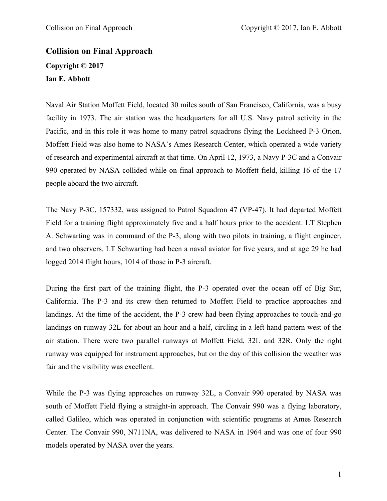## **Collision on Final Approach Copyright © 2017 Ian E. Abbott**

Naval Air Station Moffett Field, located 30 miles south of San Francisco, California, was a busy facility in 1973. The air station was the headquarters for all U.S. Navy patrol activity in the Pacific, and in this role it was home to many patrol squadrons flying the Lockheed P-3 Orion. Moffett Field was also home to NASA's Ames Research Center, which operated a wide variety of research and experimental aircraft at that time. On April 12, 1973, a Navy P-3C and a Convair 990 operated by NASA collided while on final approach to Moffett field, killing 16 of the 17 people aboard the two aircraft.

The Navy P-3C, 157332, was assigned to Patrol Squadron 47 (VP-47). It had departed Moffett Field for a training flight approximately five and a half hours prior to the accident. LT Stephen A. Schwarting was in command of the P-3, along with two pilots in training, a flight engineer, and two observers. LT Schwarting had been a naval aviator for five years, and at age 29 he had logged 2014 flight hours, 1014 of those in P-3 aircraft.

During the first part of the training flight, the P-3 operated over the ocean off of Big Sur, California. The P-3 and its crew then returned to Moffett Field to practice approaches and landings. At the time of the accident, the P-3 crew had been flying approaches to touch-and-go landings on runway 32L for about an hour and a half, circling in a left-hand pattern west of the air station. There were two parallel runways at Moffett Field, 32L and 32R. Only the right runway was equipped for instrument approaches, but on the day of this collision the weather was fair and the visibility was excellent.

While the P-3 was flying approaches on runway 32L, a Convair 990 operated by NASA was south of Moffett Field flying a straight-in approach. The Convair 990 was a flying laboratory, called Galileo, which was operated in conjunction with scientific programs at Ames Research Center. The Convair 990, N711NA, was delivered to NASA in 1964 and was one of four 990 models operated by NASA over the years.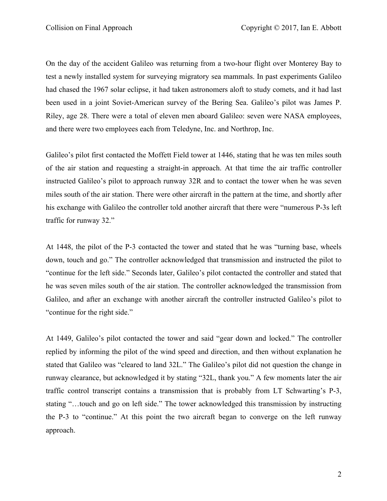On the day of the accident Galileo was returning from a two-hour flight over Monterey Bay to test a newly installed system for surveying migratory sea mammals. In past experiments Galileo had chased the 1967 solar eclipse, it had taken astronomers aloft to study comets, and it had last been used in a joint Soviet-American survey of the Bering Sea. Galileo's pilot was James P. Riley, age 28. There were a total of eleven men aboard Galileo: seven were NASA employees, and there were two employees each from Teledyne, Inc. and Northrop, Inc.

Galileo's pilot first contacted the Moffett Field tower at 1446, stating that he was ten miles south of the air station and requesting a straight-in approach. At that time the air traffic controller instructed Galileo's pilot to approach runway 32R and to contact the tower when he was seven miles south of the air station. There were other aircraft in the pattern at the time, and shortly after his exchange with Galileo the controller told another aircraft that there were "numerous P-3s left traffic for runway 32."

At 1448, the pilot of the P-3 contacted the tower and stated that he was "turning base, wheels down, touch and go." The controller acknowledged that transmission and instructed the pilot to "continue for the left side." Seconds later, Galileo's pilot contacted the controller and stated that he was seven miles south of the air station. The controller acknowledged the transmission from Galileo, and after an exchange with another aircraft the controller instructed Galileo's pilot to "continue for the right side."

At 1449, Galileo's pilot contacted the tower and said "gear down and locked." The controller replied by informing the pilot of the wind speed and direction, and then without explanation he stated that Galileo was "cleared to land 32L." The Galileo's pilot did not question the change in runway clearance, but acknowledged it by stating "32L, thank you." A few moments later the air traffic control transcript contains a transmission that is probably from LT Schwarting's P-3, stating "…touch and go on left side." The tower acknowledged this transmission by instructing the P-3 to "continue." At this point the two aircraft began to converge on the left runway approach.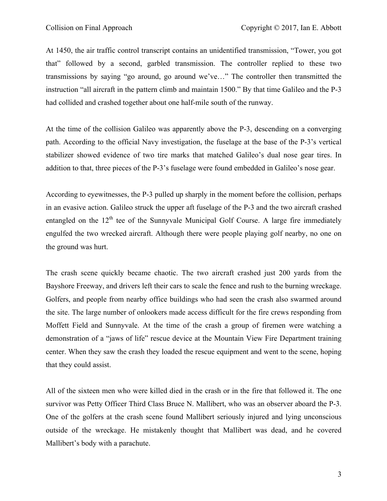At 1450, the air traffic control transcript contains an unidentified transmission, "Tower, you got that" followed by a second, garbled transmission. The controller replied to these two transmissions by saying "go around, go around we've…" The controller then transmitted the instruction "all aircraft in the pattern climb and maintain 1500." By that time Galileo and the P-3 had collided and crashed together about one half-mile south of the runway.

At the time of the collision Galileo was apparently above the P-3, descending on a converging path. According to the official Navy investigation, the fuselage at the base of the P-3's vertical stabilizer showed evidence of two tire marks that matched Galileo's dual nose gear tires. In addition to that, three pieces of the P-3's fuselage were found embedded in Galileo's nose gear.

According to eyewitnesses, the P-3 pulled up sharply in the moment before the collision, perhaps in an evasive action. Galileo struck the upper aft fuselage of the P-3 and the two aircraft crashed entangled on the  $12<sup>th</sup>$  tee of the Sunnyvale Municipal Golf Course. A large fire immediately engulfed the two wrecked aircraft. Although there were people playing golf nearby, no one on the ground was hurt.

The crash scene quickly became chaotic. The two aircraft crashed just 200 yards from the Bayshore Freeway, and drivers left their cars to scale the fence and rush to the burning wreckage. Golfers, and people from nearby office buildings who had seen the crash also swarmed around the site. The large number of onlookers made access difficult for the fire crews responding from Moffett Field and Sunnyvale. At the time of the crash a group of firemen were watching a demonstration of a "jaws of life" rescue device at the Mountain View Fire Department training center. When they saw the crash they loaded the rescue equipment and went to the scene, hoping that they could assist.

All of the sixteen men who were killed died in the crash or in the fire that followed it. The one survivor was Petty Officer Third Class Bruce N. Mallibert, who was an observer aboard the P-3. One of the golfers at the crash scene found Mallibert seriously injured and lying unconscious outside of the wreckage. He mistakenly thought that Mallibert was dead, and he covered Mallibert's body with a parachute.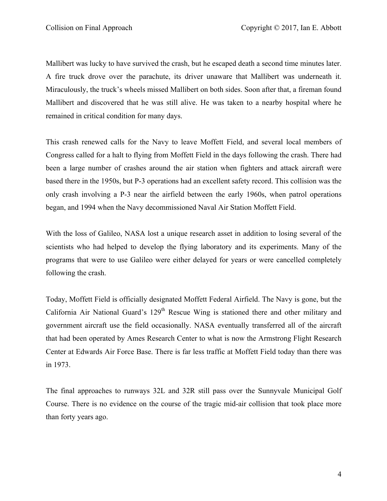Mallibert was lucky to have survived the crash, but he escaped death a second time minutes later. A fire truck drove over the parachute, its driver unaware that Mallibert was underneath it. Miraculously, the truck's wheels missed Mallibert on both sides. Soon after that, a fireman found Mallibert and discovered that he was still alive. He was taken to a nearby hospital where he remained in critical condition for many days.

This crash renewed calls for the Navy to leave Moffett Field, and several local members of Congress called for a halt to flying from Moffett Field in the days following the crash. There had been a large number of crashes around the air station when fighters and attack aircraft were based there in the 1950s, but P-3 operations had an excellent safety record. This collision was the only crash involving a P-3 near the airfield between the early 1960s, when patrol operations began, and 1994 when the Navy decommissioned Naval Air Station Moffett Field.

With the loss of Galileo, NASA lost a unique research asset in addition to losing several of the scientists who had helped to develop the flying laboratory and its experiments. Many of the programs that were to use Galileo were either delayed for years or were cancelled completely following the crash.

Today, Moffett Field is officially designated Moffett Federal Airfield. The Navy is gone, but the California Air National Guard's 129<sup>th</sup> Rescue Wing is stationed there and other military and government aircraft use the field occasionally. NASA eventually transferred all of the aircraft that had been operated by Ames Research Center to what is now the Armstrong Flight Research Center at Edwards Air Force Base. There is far less traffic at Moffett Field today than there was in 1973.

The final approaches to runways 32L and 32R still pass over the Sunnyvale Municipal Golf Course. There is no evidence on the course of the tragic mid-air collision that took place more than forty years ago.